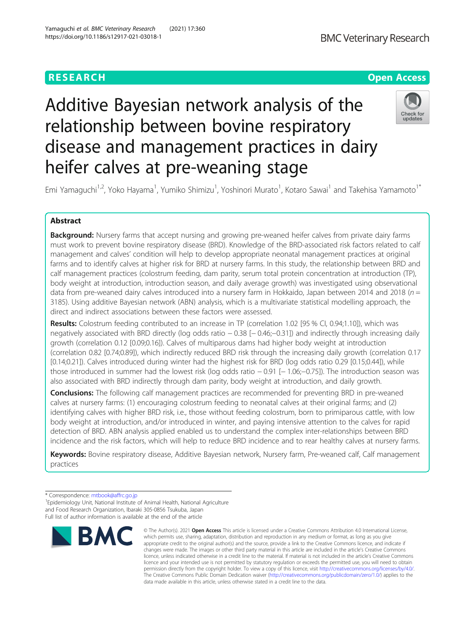# **RESEARCH CHE Open Access**

# Additive Bayesian network analysis of the relationship between bovine respiratory disease and management practices in dairy heifer calves at pre-weaning stage



Emi Yamaguchi<sup>1,2</sup>, Yoko Hayama<sup>1</sup>, Yumiko Shimizu<sup>1</sup>, Yoshinori Murato<sup>1</sup>, Kotaro Sawai<sup>1</sup> and Takehisa Yamamoto<sup>1\*</sup>

## Abstract

Background: Nursery farms that accept nursing and growing pre-weaned heifer calves from private dairy farms must work to prevent bovine respiratory disease (BRD). Knowledge of the BRD-associated risk factors related to calf management and calves' condition will help to develop appropriate neonatal management practices at original farms and to identify calves at higher risk for BRD at nursery farms. In this study, the relationship between BRD and calf management practices (colostrum feeding, dam parity, serum total protein concentration at introduction (TP), body weight at introduction, introduction season, and daily average growth) was investigated using observational data from pre-weaned dairy calves introduced into a nursery farm in Hokkaido, Japan between 2014 and 2018 ( $n =$ 3185). Using additive Bayesian network (ABN) analysis, which is a multivariate statistical modelling approach, the direct and indirect associations between these factors were assessed.

Results: Colostrum feeding contributed to an increase in TP (correlation 1.02 [95 % CI, 0.94;1.10]), which was negatively associated with BRD directly (log odds ratio − 0.38 [− 0.46;−0.31]) and indirectly through increasing daily growth (correlation 0.12 [0.09;0.16]). Calves of multiparous dams had higher body weight at introduction (correlation 0.82 [0.74;0.89]), which indirectly reduced BRD risk through the increasing daily growth (correlation 0.17 [0.14;0.21]). Calves introduced during winter had the highest risk for BRD (log odds ratio 0.29 [0.15;0.44]), while those introduced in summer had the lowest risk (log odds ratio − 0.91 [− 1.06;−0.75]). The introduction season was also associated with BRD indirectly through dam parity, body weight at introduction, and daily growth.

**Conclusions:** The following calf management practices are recommended for preventing BRD in pre-weaned calves at nursery farms: (1) encouraging colostrum feeding to neonatal calves at their original farms; and (2) identifying calves with higher BRD risk, i.e., those without feeding colostrum, born to primiparous cattle, with low body weight at introduction, and/or introduced in winter, and paying intensive attention to the calves for rapid detection of BRD. ABN analysis applied enabled us to understand the complex inter-relationships between BRD incidence and the risk factors, which will help to reduce BRD incidence and to rear healthy calves at nursery farms.

Keywords: Bovine respiratory disease, Additive Bayesian network, Nursery farm, Pre-weaned calf, Calf management practices

<sup>&</sup>lt;sup>1</sup> Epidemiology Unit, National Institute of Animal Health, National Agriculture and Food Research Organization, Ibaraki 305-0856 Tsukuba, Japan Full list of author information is available at the end of the article



<sup>©</sup> The Author(s), 2021 **Open Access** This article is licensed under a Creative Commons Attribution 4.0 International License, which permits use, sharing, adaptation, distribution and reproduction in any medium or format, as long as you give appropriate credit to the original author(s) and the source, provide a link to the Creative Commons licence, and indicate if changes were made. The images or other third party material in this article are included in the article's Creative Commons licence, unless indicated otherwise in a credit line to the material. If material is not included in the article's Creative Commons licence and your intended use is not permitted by statutory regulation or exceeds the permitted use, you will need to obtain permission directly from the copyright holder. To view a copy of this licence, visit [http://creativecommons.org/licenses/by/4.0/.](http://creativecommons.org/licenses/by/4.0/) The Creative Commons Public Domain Dedication waiver [\(http://creativecommons.org/publicdomain/zero/1.0/](http://creativecommons.org/publicdomain/zero/1.0/)) applies to the data made available in this article, unless otherwise stated in a credit line to the data.

<sup>\*</sup> Correspondence: [mtbook@affrc.go.jp](mailto:mtbook@affrc.go.jp) <sup>1</sup>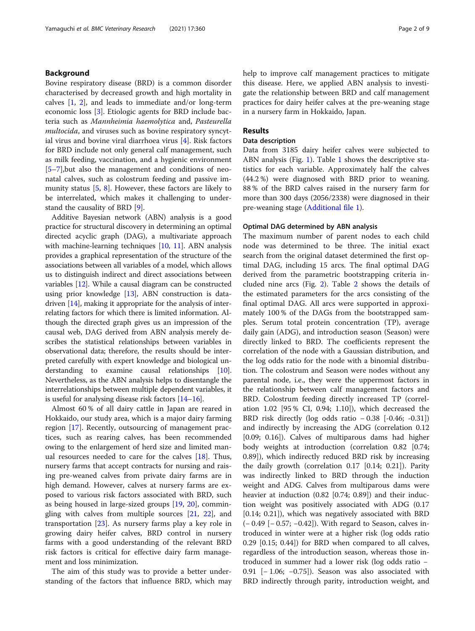#### Background

Bovine respiratory disease (BRD) is a common disorder characterised by decreased growth and high mortality in calves [\[1](#page-7-0), [2](#page-7-0)], and leads to immediate and/or long-term economic loss [\[3](#page-7-0)]. Etiologic agents for BRD include bacteria such as Mannheimia haemolytica and, Pasteurella multocida, and viruses such as bovine respiratory syncytial virus and bovine viral diarrhoea virus [\[4](#page-7-0)]. Risk factors for BRD include not only general calf management, such as milk feeding, vaccination, and a hygienic environment [[5](#page-7-0)–[7\]](#page-7-0),but also the management and conditions of neonatal calves, such as colostrum feeding and passive immunity status [[5](#page-7-0), [8\]](#page-7-0). However, these factors are likely to be interrelated, which makes it challenging to understand the causality of BRD [\[9](#page-7-0)].

Additive Bayesian network (ABN) analysis is a good practice for structural discovery in determining an optimal directed acyclic graph (DAG), a multivariate approach with machine-learning techniques [[10,](#page-7-0) [11](#page-7-0)]. ABN analysis provides a graphical representation of the structure of the associations between all variables of a model, which allows us to distinguish indirect and direct associations between variables [[12](#page-7-0)]. While a causal diagram can be constructed using prior knowledge [[13](#page-8-0)], ABN construction is datadriven [[14](#page-8-0)], making it appropriate for the analysis of interrelating factors for which there is limited information. Although the directed graph gives us an impression of the causal web, DAG derived from ABN analysis merely describes the statistical relationships between variables in observational data; therefore, the results should be interpreted carefully with expert knowledge and biological understanding to examine causal relationships [[10](#page-7-0)]. Nevertheless, as the ABN analysis helps to disentangle the interrelationships between multiple dependent variables, it is useful for analysing disease risk factors [[14](#page-8-0)–[16\]](#page-8-0).

Almost 60 % of all dairy cattle in Japan are reared in Hokkaido, our study area, which is a major dairy farming region [\[17](#page-8-0)]. Recently, outsourcing of management practices, such as rearing calves, has been recommended owing to the enlargement of herd size and limited manual resources needed to care for the calves [[18\]](#page-8-0). Thus, nursery farms that accept contracts for nursing and raising pre-weaned calves from private dairy farms are in high demand. However, calves at nursery farms are exposed to various risk factors associated with BRD, such as being housed in large-sized groups [\[19](#page-8-0), [20](#page-8-0)], commingling with calves from multiple sources [[21,](#page-8-0) [22\]](#page-8-0), and transportation [[23\]](#page-8-0). As nursery farms play a key role in growing dairy heifer calves, BRD control in nursery farms with a good understanding of the relevant BRD risk factors is critical for effective dairy farm management and loss minimization.

The aim of this study was to provide a better understanding of the factors that influence BRD, which may help to improve calf management practices to mitigate this disease. Here, we applied ABN analysis to investigate the relationship between BRD and calf management practices for dairy heifer calves at the pre-weaning stage in a nursery farm in Hokkaido, Japan.

### Results

#### Data description

Data from 3185 dairy heifer calves were subjected to ABN analysis (Fig. [1\)](#page-2-0). Table [1](#page-3-0) shows the descriptive statistics for each variable. Approximately half the calves (44.2 %) were diagnosed with BRD prior to weaning. 88 % of the BRD calves raised in the nursery farm for more than 300 days (2056/2338) were diagnosed in their pre-weaning stage ([Additional file 1](#page-7-0)).

#### Optimal DAG determined by ABN analysis

The maximum number of parent nodes to each child node was determined to be three. The initial exact search from the original dataset determined the first optimal DAG, including 15 arcs. The final optimal DAG derived from the parametric bootstrapping criteria included nine arcs (Fig. [2](#page-4-0)). Table [2](#page-5-0) shows the details of the estimated parameters for the arcs consisting of the final optimal DAG. All arcs were supported in approximately 100 % of the DAGs from the bootstrapped samples. Serum total protein concentration (TP), average daily gain (ADG), and introduction season (Season) were directly linked to BRD. The coefficients represent the correlation of the node with a Gaussian distribution, and the log odds ratio for the node with a binomial distribution. The colostrum and Season were nodes without any parental node, i.e., they were the uppermost factors in the relationship between calf management factors and BRD. Colostrum feeding directly increased TP (correlation 1.02 [95 % CI, 0.94; 1.10]), which decreased the BRD risk directly (log odds ratio − 0.38 [-0.46; -0.31]) and indirectly by increasing the ADG (correlation 0.12 [0.09; 0.16]). Calves of multiparous dams had higher body weights at introduction (correlation 0.82 [0.74; 0.89]), which indirectly reduced BRD risk by increasing the daily growth (correlation 0.17 [0.14; 0.21]). Parity was indirectly linked to BRD through the induction weight and ADG. Calves from multiparous dams were heavier at induction (0.82 [0.74; 0.89]) and their induction weight was positively associated with ADG (0.17 [0.14; 0.21]), which was negatively associated with BRD (− 0.49 [− 0.57; −0.42]). With regard to Season, calves introduced in winter were at a higher risk (log odds ratio 0.29 [0.15; 0.44]) for BRD when compared to all calves, regardless of the introduction season, whereas those introduced in summer had a lower risk (log odds ratio − 0.91 [− 1.06; −0.75]). Season was also associated with BRD indirectly through parity, introduction weight, and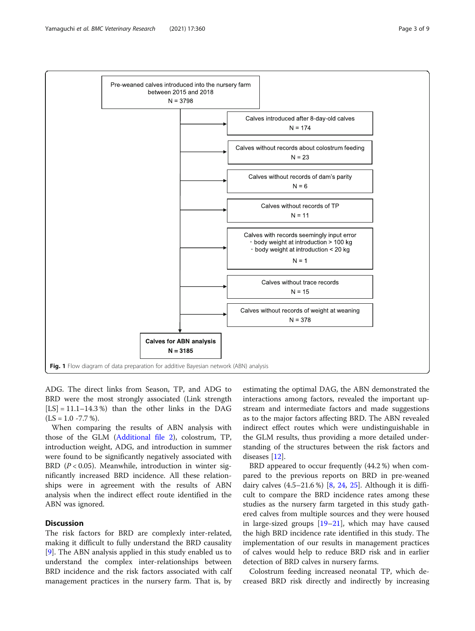<span id="page-2-0"></span>

ADG. The direct links from Season, TP, and ADG to BRD were the most strongly associated (Link strength  $[LS] = 11.1 - 14.3$ %) than the other links in the DAG  $(LS = 1.0 - 7.7 %).$ 

When comparing the results of ABN analysis with those of the GLM ([Additional file 2\)](#page-7-0), colostrum, TP, introduction weight, ADG, and introduction in summer were found to be significantly negatively associated with BRD ( $P < 0.05$ ). Meanwhile, introduction in winter significantly increased BRD incidence. All these relationships were in agreement with the results of ABN analysis when the indirect effect route identified in the ABN was ignored.

#### **Discussion**

The risk factors for BRD are complexly inter-related, making it difficult to fully understand the BRD causality [[9\]](#page-7-0). The ABN analysis applied in this study enabled us to understand the complex inter-relationships between BRD incidence and the risk factors associated with calf management practices in the nursery farm. That is, by

estimating the optimal DAG, the ABN demonstrated the interactions among factors, revealed the important upstream and intermediate factors and made suggestions as to the major factors affecting BRD. The ABN revealed indirect effect routes which were undistinguishable in the GLM results, thus providing a more detailed understanding of the structures between the risk factors and diseases [\[12\]](#page-7-0).

BRD appeared to occur frequently (44.2 %) when compared to the previous reports on BRD in pre-weaned dairy calves  $(4.5-21.6\%)$   $[8, 24, 25]$  $[8, 24, 25]$  $[8, 24, 25]$  $[8, 24, 25]$  $[8, 24, 25]$  $[8, 24, 25]$ . Although it is difficult to compare the BRD incidence rates among these studies as the nursery farm targeted in this study gathered calves from multiple sources and they were housed in large-sized groups [\[19](#page-8-0)–[21\]](#page-8-0), which may have caused the high BRD incidence rate identified in this study. The implementation of our results in management practices of calves would help to reduce BRD risk and in earlier detection of BRD calves in nursery farms.

Colostrum feeding increased neonatal TP, which decreased BRD risk directly and indirectly by increasing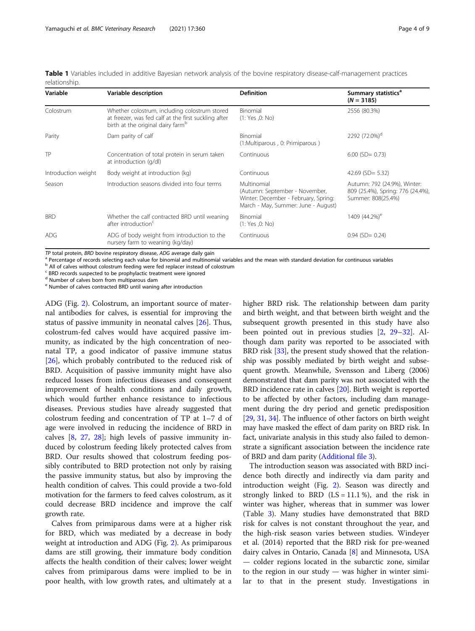<span id="page-3-0"></span>Table 1 Variables included in additive Bayesian network analysis of the bovine respiratory disease-calf-management practices relationship.

| Variable            | Variable description                                                                                                                                   | <b>Definition</b>                                                                                                            | Summary statistics <sup>a</sup><br>$(N = 3185)$                                         |
|---------------------|--------------------------------------------------------------------------------------------------------------------------------------------------------|------------------------------------------------------------------------------------------------------------------------------|-----------------------------------------------------------------------------------------|
| Colostrum           | Whether colostrum, including colostrum stored<br>at freezer, was fed calf at the first suckling after<br>birth at the original dairy farm <sup>b</sup> | Binomial<br>(1: Yes, 0: No)                                                                                                  | 2556 (80.3%)                                                                            |
| Parity              | Dam parity of calf                                                                                                                                     | Binomial<br>(1:Multiparous, 0: Primiparous)                                                                                  | 2292 (72.0%) <sup>d</sup>                                                               |
| TP                  | Concentration of total protein in serum taken<br>at introduction (g/dl)                                                                                | Continuous                                                                                                                   | $6.00$ (SD= 0.73)                                                                       |
| Introduction weight | Body weight at introduction (kg)                                                                                                                       | Continuous                                                                                                                   | 42.69 (SD= $5.32$ )                                                                     |
| Season              | Introduction seasons divided into four terms                                                                                                           | Multinomial<br>(Autumn: September - November,<br>Winter: December - February, Spring:<br>March - May, Summer: June - August) | Autumn: 792 (24.9%), Winter:<br>809 (25.4%), Spring: 776 (24.4%),<br>Summer: 808(25.4%) |
| <b>BRD</b>          | Whether the calf contracted BRD until weaning<br>after introduction <sup>c</sup>                                                                       | Binomial<br>(1: Yes, 0: No)                                                                                                  | 1409 (44.2%) <sup>e</sup>                                                               |
| <b>ADG</b>          | ADG of body weight from introduction to the<br>nursery farm to weaning (kg/day)                                                                        | Continuous                                                                                                                   | $0.94$ (SD= $0.24$ )                                                                    |

TP total protein, BRD bovine respiratory disease, ADG average daily gain<br><sup>a</sup> Percentage of records selecting each value for binomial and multinomial variables and the mean with standard deviation for continuous variables

b All of calves without colostrum feeding were fed replacer instead of colostrum

<sup>c</sup> BRD records suspected to be prophylactic treatment were ignored

<sup>d</sup> Number of calves born from multiparous dam

<sup>e</sup> Number of calves contracted BRD until waning after introduction

ADG (Fig. [2](#page-4-0)). Colostrum, an important source of maternal antibodies for calves, is essential for improving the status of passive immunity in neonatal calves [\[26\]](#page-8-0). Thus, colostrum-fed calves would have acquired passive immunity, as indicated by the high concentration of neonatal TP, a good indicator of passive immune status [[26\]](#page-8-0), which probably contributed to the reduced risk of BRD. Acquisition of passive immunity might have also reduced losses from infectious diseases and consequent improvement of health conditions and daily growth, which would further enhance resistance to infectious diseases. Previous studies have already suggested that colostrum feeding and concentration of TP at 1–7 d of age were involved in reducing the incidence of BRD in calves [[8,](#page-7-0) [27,](#page-8-0) [28\]](#page-8-0); high levels of passive immunity induced by colostrum feeding likely protected calves from BRD. Our results showed that colostrum feeding possibly contributed to BRD protection not only by raising the passive immunity status, but also by improving the health condition of calves. This could provide a two-fold motivation for the farmers to feed calves colostrum, as it could decrease BRD incidence and improve the calf growth rate.

Calves from primiparous dams were at a higher risk for BRD, which was mediated by a decrease in body weight at introduction and ADG (Fig. [2\)](#page-4-0). As primiparous dams are still growing, their immature body condition affects the health condition of their calves; lower weight calves from primiparous dams were implied to be in poor health, with low growth rates, and ultimately at a higher BRD risk. The relationship between dam parity and birth weight, and that between birth weight and the subsequent growth presented in this study have also been pointed out in previous studies [\[2](#page-7-0), [29](#page-8-0)–[32\]](#page-8-0). Although dam parity was reported to be associated with BRD risk [\[33\]](#page-8-0), the present study showed that the relationship was possibly mediated by birth weight and subsequent growth. Meanwhile, Svensson and Liberg (2006) demonstrated that dam parity was not associated with the BRD incidence rate in calves [\[20](#page-8-0)]. Birth weight is reported to be affected by other factors, including dam management during the dry period and genetic predisposition [[29](#page-8-0), [31,](#page-8-0) [34](#page-8-0)]. The influence of other factors on birth weight may have masked the effect of dam parity on BRD risk. In fact, univariate analysis in this study also failed to demonstrate a significant association between the incidence rate of BRD and dam parity ([Additional file 3](#page-7-0)).

The introduction season was associated with BRD incidence both directly and indirectly via dam parity and introduction weight (Fig. [2](#page-4-0)). Season was directly and strongly linked to BRD  $(LS = 11.1 \%)$ , and the risk in winter was higher, whereas that in summer was lower (Table [3\)](#page-6-0). Many studies have demonstrated that BRD risk for calves is not constant throughout the year, and the high-risk season varies between studies. Windeyer et al. (2014) reported that the BRD risk for pre-weaned dairy calves in Ontario, Canada [\[8\]](#page-7-0) and Minnesota, USA — colder regions located in the subarctic zone, similar to the region in our study — was higher in winter similar to that in the present study. Investigations in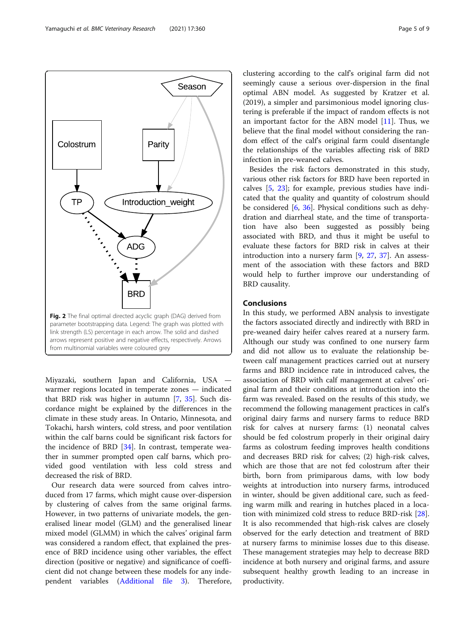<span id="page-4-0"></span>

Miyazaki, southern Japan and California, USA warmer regions located in temperate zones — indicated that BRD risk was higher in autumn [\[7](#page-7-0), [35\]](#page-8-0). Such discordance might be explained by the differences in the climate in these study areas. In Ontario, Minnesota, and Tokachi, harsh winters, cold stress, and poor ventilation within the calf barns could be significant risk factors for the incidence of BRD [[34\]](#page-8-0). In contrast, temperate weather in summer prompted open calf barns, which provided good ventilation with less cold stress and decreased the risk of BRD.

Our research data were sourced from calves introduced from 17 farms, which might cause over-dispersion by clustering of calves from the same original farms. However, in two patterns of univariate models, the generalised linear model (GLM) and the generalised linear mixed model (GLMM) in which the calves' original farm was considered a random effect, that explained the presence of BRD incidence using other variables, the effect direction (positive or negative) and significance of coefficient did not change between these models for any independent variables ([Additional file 3\)](#page-7-0). Therefore,

clustering according to the calf's original farm did not seemingly cause a serious over-dispersion in the final optimal ABN model. As suggested by Kratzer et al. (2019), a simpler and parsimonious model ignoring clustering is preferable if the impact of random effects is not an important factor for the ABN model  $[11]$  $[11]$ . Thus, we believe that the final model without considering the random effect of the calf's original farm could disentangle the relationships of the variables affecting risk of BRD infection in pre-weaned calves.

Besides the risk factors demonstrated in this study, various other risk factors for BRD have been reported in calves [\[5](#page-7-0), [23\]](#page-8-0); for example, previous studies have indicated that the quality and quantity of colostrum should be considered [[6,](#page-7-0) [36](#page-8-0)]. Physical conditions such as dehydration and diarrheal state, and the time of transportation have also been suggested as possibly being associated with BRD, and thus it might be useful to evaluate these factors for BRD risk in calves at their introduction into a nursery farm [[9,](#page-7-0) [27,](#page-8-0) [37\]](#page-8-0). An assessment of the association with these factors and BRD would help to further improve our understanding of BRD causality.

#### Conclusions

In this study, we performed ABN analysis to investigate the factors associated directly and indirectly with BRD in pre-weaned dairy heifer calves reared at a nursery farm. Although our study was confined to one nursery farm and did not allow us to evaluate the relationship between calf management practices carried out at nursery farms and BRD incidence rate in introduced calves, the association of BRD with calf management at calves' original farm and their conditions at introduction into the farm was revealed. Based on the results of this study, we recommend the following management practices in calf's original dairy farms and nursery farms to reduce BRD risk for calves at nursery farms: (1) neonatal calves should be fed colostrum properly in their original dairy farms as colostrum feeding improves health conditions and decreases BRD risk for calves; (2) high-risk calves, which are those that are not fed colostrum after their birth, born from primiparous dams, with low body weights at introduction into nursery farms, introduced in winter, should be given additional care, such as feeding warm milk and rearing in hutches placed in a location with minimized cold stress to reduce BRD-risk [\[28](#page-8-0)]. It is also recommended that high-risk calves are closely observed for the early detection and treatment of BRD at nursery farms to minimise losses due to this disease. These management strategies may help to decrease BRD incidence at both nursery and original farms, and assure subsequent healthy growth leading to an increase in productivity.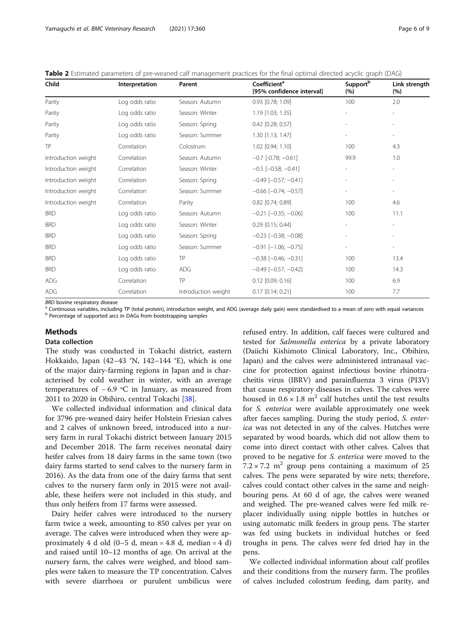<span id="page-5-0"></span>

| Table 2 Estimated parameters of pre-weaned calf management practices for the final optimal directed acyclic graph (DAG) |  |  |  |
|-------------------------------------------------------------------------------------------------------------------------|--|--|--|
|                                                                                                                         |  |  |  |

| Child               | Interpretation | Parent              | Coefficient <sup>a</sup><br>[95% confidence interval] | Support <sup>b</sup><br>(%) | Link strength<br>(%)     |
|---------------------|----------------|---------------------|-------------------------------------------------------|-----------------------------|--------------------------|
| Parity              | Log odds ratio | Season: Autumn      | 0.93 [0.78; 1.09]                                     | 100                         | 2.0                      |
| Parity              | Log odds ratio | Season: Winter      | 1.19 [1.03; 1.35]                                     |                             |                          |
| Parity              | Log odds ratio | Season: Spring      | 0.42 [0.28; 0.57]                                     |                             |                          |
| Parity              | Log odds ratio | Season: Summer      | 1.30 [1.13; 1.47]                                     |                             |                          |
| TP                  | Correlation    | Colostrum           | 1.02 [0.94; 1.10]                                     | 100                         | 4.3                      |
| Introduction weight | Correlation    | Season: Autumn      | $-0.7$ [ $-0.78$ ; $-0.61$ ]                          | 99.9                        | 1.0                      |
| Introduction weight | Correlation    | Season: Winter      | $-0.5$ [ $-0.58$ ; $-0.41$ ]                          | $\overline{a}$              | $\overline{\phantom{a}}$ |
| Introduction weight | Correlation    | Season: Spring      | $-0.49$ [ $-0.57$ ; $-0.41$ ]                         | $\overline{\phantom{a}}$    | $\overline{\phantom{a}}$ |
| Introduction weight | Correlation    | Season: Summer      | $-0.66$ $[-0.74; -0.57]$                              | $\overline{\phantom{0}}$    |                          |
| Introduction weight | Correlation    | Parity              | $0.82$ [0.74; 0.89]                                   | 100                         | 4.6                      |
| <b>BRD</b>          | Log odds ratio | Season: Autumn      | $-0.21$ [ $-0.35$ ; $-0.06$ ]                         | 100                         | 11.1                     |
| <b>BRD</b>          | Log odds ratio | Season: Winter      | $0.29$ [0.15; 0.44]                                   |                             |                          |
| <b>BRD</b>          | Log odds ratio | Season: Spring      | $-0.23$ [ $-0.38$ ; $-0.08$ ]                         |                             |                          |
| <b>BRD</b>          | Log odds ratio | Season: Summer      | $-0.91$ $[-1.06; -0.75]$                              |                             |                          |
| <b>BRD</b>          | Log odds ratio | TP                  | $-0.38$ $[-0.46; -0.31]$                              | 100                         | 13.4                     |
| <b>BRD</b>          | Log odds ratio | ADG                 | $-0.49$ [ $-0.57$ ; $-0.42$ ]                         | 100                         | 14.3                     |
| ADG                 | Correlation    | TP                  | $0.12$ [0.09; 0.16]                                   | 100                         | 6.9                      |
| ADG                 | Correlation    | Introduction weight | $0.17$ [0.14; 0.21]                                   | 100                         | 7.7                      |

BRD bovine respiratory disease<br><sup>a</sup> Continuous variables, including TP (total protein), introduction weight, and ADG (average daily gain) were standardised to a mean of zero with equal variances<br><sup>b</sup> Percentage of supported

#### Methods

#### Data collection

The study was conducted in Tokachi district, eastern Hokkaido, Japan (42–43 °N, 142–144 °E), which is one of the major dairy-farming regions in Japan and is characterised by cold weather in winter, with an average temperatures of − 6.9 ºC in January, as measured from 2011 to 2020 in Obihiro, central Tokachi [\[38](#page-8-0)].

We collected individual information and clinical data for 3796 pre-weaned dairy heifer Holstein Friesian calves and 2 calves of unknown breed, introduced into a nursery farm in rural Tokachi district between January 2015 and December 2018. The farm receives neonatal dairy heifer calves from 18 dairy farms in the same town (two dairy farms started to send calves to the nursery farm in 2016). As the data from one of the dairy farms that sent calves to the nursery farm only in 2015 were not available, these heifers were not included in this study, and thus only heifers from 17 farms were assessed.

Dairy heifer calves were introduced to the nursery farm twice a week, amounting to 850 calves per year on average. The calves were introduced when they were approximately 4 d old  $(0-5$  d, mean = 4.8 d, median = 4 d) and raised until 10–12 months of age. On arrival at the nursery farm, the calves were weighed, and blood samples were taken to measure the TP concentration. Calves with severe diarrhoea or purulent umbilicus were

refused entry. In addition, calf faeces were cultured and tested for Salmonella enterica by a private laboratory (Daiichi Kishimoto Clinical Laboratory, Inc., Obihiro, Japan) and the calves were administered intranasal vaccine for protection against infectious bovine rhinotracheitis virus (IBRV) and parainfluenza 3 virus (PI3V) that cause respiratory diseases in calves. The calves were housed in  $0.6 \times 1.8$  m<sup>2</sup> calf hutches until the test results for S. enterica were available approximately one week after faeces sampling. During the study period, S. enterica was not detected in any of the calves. Hutches were separated by wood boards, which did not allow them to come into direct contact with other calves. Calves that proved to be negative for S. enterica were moved to the  $7.2 \times 7.2$  m<sup>2</sup> group pens containing a maximum of 25 calves. The pens were separated by wire nets; therefore, calves could contact other calves in the same and neighbouring pens. At 60 d of age, the calves were weaned and weighed. The pre-weaned calves were fed milk replacer individually using nipple bottles in hutches or using automatic milk feeders in group pens. The starter was fed using buckets in individual hutches or feed troughs in pens. The calves were fed dried hay in the pens.

We collected individual information about calf profiles and their conditions from the nursery farm. The profiles of calves included colostrum feeding, dam parity, and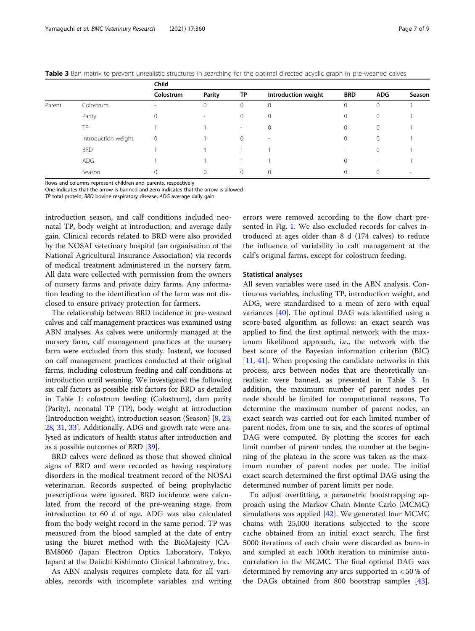<span id="page-6-0"></span>

| Table 3 Ban matrix to prevent unrealistic structures in searching for the optimal directed acyclic graph in pre-weaned calves |  |  |
|-------------------------------------------------------------------------------------------------------------------------------|--|--|
|                                                                                                                               |  |  |

|        |                     | Child     |                          |              |                          |                          |             |                          |  |
|--------|---------------------|-----------|--------------------------|--------------|--------------------------|--------------------------|-------------|--------------------------|--|
|        |                     | Colostrum | <b>Parity</b>            | TP           | Introduction weight      | <b>BRD</b>               | <b>ADG</b>  | Season                   |  |
| Parent | Colostrum           | $\sim$    | 0                        | $\mathbf{0}$ | $\mathbf 0$              | 0                        | $\mathbf 0$ |                          |  |
|        | Parity              |           | $\overline{\phantom{a}}$ | $\mathbf{0}$ | $\mathbf 0$              |                          | 0           |                          |  |
|        | ТP                  |           |                          | $\sim$       |                          |                          | 0           |                          |  |
|        | Introduction weight | 0         |                          | $\Omega$     | $\overline{\phantom{a}}$ |                          | 0           |                          |  |
|        | <b>BRD</b>          |           |                          |              |                          | $\overline{\phantom{a}}$ | 0           |                          |  |
|        | <b>ADG</b>          |           |                          |              |                          | 0                        | $\sim$      |                          |  |
|        | Season              |           | $\Omega$                 | $\Omega$     | $\Omega$                 |                          | $\Omega$    | $\overline{\phantom{a}}$ |  |

Rows and columns represent children and parents, respectively

One indicates that the arrow is banned and zero indicates that the arrow is allowed

TP total protein, BRD bovine respiratory disease, ADG average daily gain

introduction season, and calf conditions included neonatal TP, body weight at introduction, and average daily gain. Clinical records related to BRD were also provided by the NOSAI veterinary hospital (an organisation of the National Agricultural Insurance Association) via records of medical treatment administered in the nursery farm. All data were collected with permission from the owners of nursery farms and private dairy farms. Any information leading to the identification of the farm was not disclosed to ensure privacy protection for farmers.

The relationship between BRD incidence in pre-weaned calves and calf management practices was examined using ABN analyses. As calves were uniformly managed at the nursery farm, calf management practices at the nursery farm were excluded from this study. Instead, we focused on calf management practices conducted at their original farms, including colostrum feeding and calf conditions at introduction until weaning. We investigated the following six calf factors as possible risk factors for BRD as detailed in Table [1](#page-3-0): colostrum feeding (Colostrum), dam parity (Parity), neonatal TP (TP), body weight at introduction (Introduction weight), introduction season (Season) [\[8,](#page-7-0) [23](#page-8-0), [28](#page-8-0), [31](#page-8-0), [33](#page-8-0)]. Additionally, ADG and growth rate were analysed as indicators of health status after introduction and as a possible outcomes of BRD [\[39\]](#page-8-0).

BRD calves were defined as those that showed clinical signs of BRD and were recorded as having respiratory disorders in the medical treatment record of the NOSAI veterinarian. Records suspected of being prophylactic prescriptions were ignored. BRD incidence were calculated from the record of the pre-weaning stage, from introduction to 60 d of age. ADG was also calculated from the body weight record in the same period. TP was measured from the blood sampled at the date of entry using the biuret method with the BioMajesty JCA-BM8060 (Japan Electron Optics Laboratory, Tokyo, Japan) at the Daiichi Kishimoto Clinical Laboratory, Inc.

As ABN analysis requires complete data for all variables, records with incomplete variables and writing errors were removed according to the flow chart presented in Fig. [1.](#page-2-0) We also excluded records for calves introduced at ages older than 8 d (174 calves) to reduce the influence of variability in calf management at the calf's original farms, except for colostrum feeding.

#### Statistical analyses

All seven variables were used in the ABN analysis. Continuous variables, including TP, introduction weight, and ADG, were standardised to a mean of zero with equal variances [\[40\]](#page-8-0). The optimal DAG was identified using a score-based algorithm as follows: an exact search was applied to find the first optimal network with the maximum likelihood approach, i.e., the network with the best score of the Bayesian information criterion (BIC) [[11,](#page-7-0) [41\]](#page-8-0). When proposing the candidate networks in this process, arcs between nodes that are theoretically unrealistic were banned, as presented in Table 3. In addition, the maximum number of parent nodes per node should be limited for computational reasons. To determine the maximum number of parent nodes, an exact search was carried out for each limited number of parent nodes, from one to six, and the scores of optimal DAG were computed. By plotting the scores for each limit number of parent nodes, the number at the beginning of the plateau in the score was taken as the maximum number of parent nodes per node. The initial exact search determined the first optimal DAG using the determined number of parent limits per node.

To adjust overfitting, a parametric bootstrapping approach using the Markov Chain Monte Carlo (MCMC) simulations was applied  $[42]$  $[42]$  $[42]$ . We generated four MCMC chains with 25,000 iterations subjected to the score cache obtained from an initial exact search. The first 5000 iterations of each chain were discarded as burn-in and sampled at each 100th iteration to minimise autocorrelation in the MCMC. The final optimal DAG was determined by removing any arcs supported in < 50 % of the DAGs obtained from 800 bootstrap samples [\[43](#page-8-0)].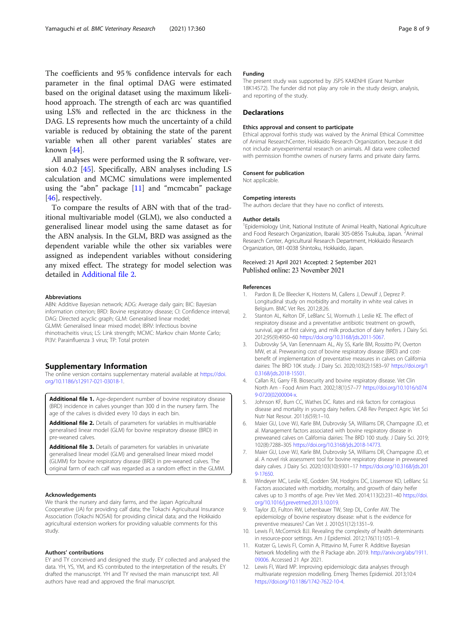<span id="page-7-0"></span>The coefficients and 95 % confidence intervals for each parameter in the final optimal DAG were estimated based on the original dataset using the maximum likelihood approach. The strength of each arc was quantified using LS% and reflected in the arc thickness in the DAG. LS represents how much the uncertainty of a child variable is reduced by obtaining the state of the parent variable when all other parent variables' states are known [[44](#page-8-0)].

All analyses were performed using the R software, version 4.0.2 [\[45](#page-8-0)]. Specifically, ABN analyses including LS calculation and MCMC simulations were implemented using the "abn" package  $[11]$  and "mcmcabn" package [[46\]](#page-8-0), respectively.

To compare the results of ABN with that of the traditional multivariable model (GLM), we also conducted a generalised linear model using the same dataset as for the ABN analysis. In the GLM, BRD was assigned as the dependent variable while the other six variables were assigned as independent variables without considering any mixed effect. The strategy for model selection was detailed in Additional file 2.

#### Abbreviations

ABN: Additive Bayesian network; ADG: Average daily gain; BIC: Bayesian information criterion; BRD: Bovine respiratory disease; CI: Confidence interval; DAG: Directed acyclic graph; GLM: Generalised linear model; GLMM: Generalised linear mixed model; IBRV: Infectious bovine rhinotracheitis virus; LS: Link strength; MCMC: Markov chain Monte Carlo; PI3V: Parainfluenza 3 virus; TP: Total protein

#### Supplementary Information

The online version contains supplementary material available at [https://doi.](https://doi.org/10.1186/s12917-021-03018-1) [org/10.1186/s12917-021-03018-1.](https://doi.org/10.1186/s12917-021-03018-1)

Additional file 1. Age-dependent number of bovine respiratory disease (BRD) incidence in calves younger than 300 d in the nursery farm. The age of the calves is divided every 10 days in each bin.

Additional file 2. Details of parameters for variables in multivariable generalised linear model (GLM) for bovine respiratory disease (BRD) in pre-weaned calves.

Additional file 3. Details of parameters for variables in univariate generalised linear model (GLM) and generalised linear mixed model (GLMM) for bovine respiratory disease (BRD) in pre-weaned calves. The original farm of each calf was regarded as a random effect in the GLMM.

#### Acknowledgements

We thank the nursery and dairy farms, and the Japan Agricultural Cooperative (JA) for providing calf data; the Tokachi Agricultural Insurance Association (Tokachi NOSAI) for providing clinical data; and the Hokkaido agricultural extension workers for providing valuable comments for this study.

#### Authors' contributions

EY and TY conceived and designed the study. EY collected and analysed the data. YH, YS, YM, and KS contributed to the interpretation of the results. EY drafted the manuscript. YH and TY revised the main manuscript text. All authors have read and approved the final manuscript.

#### Funding

The present study was supported by JSPS KAKENHI (Grant Number 18K14572). The funder did not play any role in the study design, analysis, and reporting of the study.

#### **Declarations**

#### Ethics approval and consent to participate

Ethical approval forthis study was waived by the Animal Ethical Committee of Animal ResearchCenter, Hokkaido Research Organization, because it did not include anyexperimental research on animals. All data were collected with permission fromthe owners of nursery farms and private dairy farms.

#### Consent for publication

Not applicable.

#### Competing interests

The authors declare that they have no conflict of interests.

#### Author details

<sup>1</sup> Epidemiology Unit, National Institute of Animal Health, National Agriculture and Food Research Organization, Ibaraki 305-0856 Tsukuba, Japan. <sup>2</sup>Animal Research Center, Agricultural Research Department, Hokkaido Research Organization, 081-0038 Shintoku, Hokkaido, Japan.

#### Received: 21 April 2021 Accepted: 2 September 2021 Published online: 23 November 2021

#### References

- Pardon B, De Bleecker K, Hostens M, Callens J, Dewulf J, Deprez P. Longitudinal study on morbidity and mortality in white veal calves in Belgium. BMC Vet Res. 2012;8:26.
- Stanton AL, Kelton DF, LeBlanc SJ, Wormuth J, Leslie KE. The effect of respiratory disease and a preventative antibiotic treatment on growth, survival, age at first calving, and milk production of dairy heifers. J Dairy Sci. 2012;95(9):4950–60 [https://doi.org/10.3168/jds.2011-5067.](https://doi.org/10.3168/jds.2011-5067)
- 3. Dubrovsky SA, Van Eenennaam AL, Aly SS, Karle BM, Rossitto PV, Overton MW, et al. Preweaning cost of bovine respiratory disease (BRD) and costbenefit of implementation of preventative measures in calves on California dairies: The BRD 10K study. J Dairy Sci. 2020;103(2):1583–97 [https://doi.org/1](https://doi.org/10.3168/jds.2018-15501) [0.3168/jds.2018-15501](https://doi.org/10.3168/jds.2018-15501).
- 4. Callan RJ, Garry FB. Biosecurity and bovine respiratory disease. Vet Clin North Am - Food Anim Pract. 2002;18(1):57–77 [https://doi.org/10.1016/s074](https://doi.org/10.1016/s0749-0720(02)00004-x) [9-0720\(02\)00004-x.](https://doi.org/10.1016/s0749-0720(02)00004-x)
- 5. Johnson KF, Burn CC, Wathes DC. Rates and risk factors for contagious disease and mortality in young dairy heifers. CAB Rev Perspect Agric Vet Sci Nutr Nat Resour. 2011;6(59):1–10.
- 6. Maier GU, Love WJ, Karle BM, Dubrovsky SA, Williams DR, Champagne JD, et al. Management factors associated with bovine respiratory disease in preweaned calves on California dairies: The BRD 100 study. J Dairy Sci. 2019; 102(8):7288–305 <https://doi.org/10.3168/jds.2018-14773>.
- 7. Maier GU, Love WJ, Karle BM, Dubrovsky SA, Williams DR, Champagne JD, et al. A novel risk assessment tool for bovine respiratory disease in preweaned dairy calves. J Dairy Sci. 2020;103(10):9301–17 [https://doi.org/10.3168/jds.201](https://doi.org/10.3168/jds.2019-17650) [9-17650](https://doi.org/10.3168/jds.2019-17650).
- 8. Windeyer MC, Leslie KE, Godden SM, Hodgins DC, Lissemore KD, LeBlanc SJ. Factors associated with morbidity, mortality, and growth of dairy heifer calves up to 3 months of age. Prev Vet Med. 2014;113(2):231–40 [https://doi.](https://doi.org/10.1016/j.prevetmed.2013.10.019) [org/10.1016/j.prevetmed.2013.10.019](https://doi.org/10.1016/j.prevetmed.2013.10.019).
- 9. Taylor JD, Fulton RW, Lehenbauer TW, Step DL, Confer AW. The epidemiology of bovine respiratory disease: what is the evidence for preventive measures? Can Vet J. 2010;51(12):1351–9.
- 10. Lewis FI, McCormick BJJ. Revealing the complexity of health determinants in resource-poor settings. Am J Epidemiol. 2012;176(11):1051–9.
- 11. Kratzer G, Lewis FI, Comin A, Pittavino M, Furrer R. Additive Bayesian Network Modelling with the R Package abn. 2019. [http://arxiv.org/abs/1911.](http://arxiv.org/abs/1911.09006) [09006.](http://arxiv.org/abs/1911.09006) Accessed 21 Apr 2021.
- 12. Lewis FI, Ward MP. Improving epidemiologic data analyses through multivariate regression modelling. Emerg Themes Epidemiol. 2013;10:4 [https://doi.org/10.1186/1742-7622-10-4.](https://doi.org/10.1186/1742-7622-10-4)